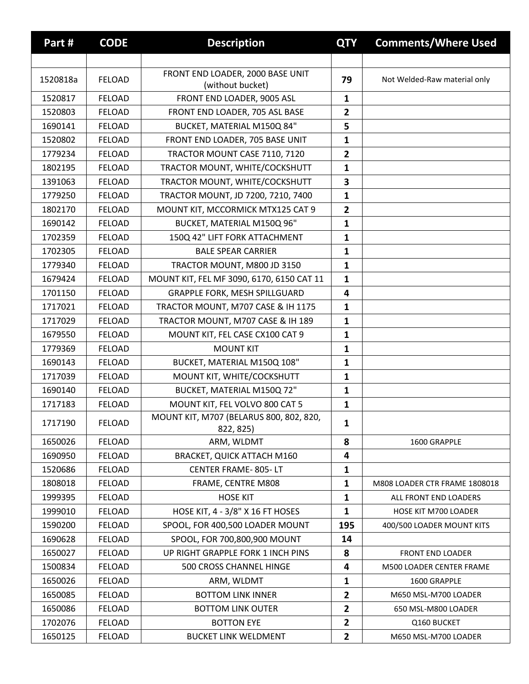| Part#    | <b>CODE</b>   | <b>Description</b>                                   | <b>QTY</b>              | <b>Comments/Where Used</b>      |
|----------|---------------|------------------------------------------------------|-------------------------|---------------------------------|
|          |               |                                                      |                         |                                 |
| 1520818a | <b>FELOAD</b> | FRONT END LOADER, 2000 BASE UNIT<br>(without bucket) | 79                      | Not Welded-Raw material only    |
| 1520817  | <b>FELOAD</b> | FRONT END LOADER, 9005 ASL                           | $\mathbf{1}$            |                                 |
| 1520803  | <b>FELOAD</b> | FRONT END LOADER, 705 ASL BASE                       | $\overline{2}$          |                                 |
| 1690141  | <b>FELOAD</b> | BUCKET, MATERIAL M150Q 84"                           | 5                       |                                 |
| 1520802  | <b>FELOAD</b> | FRONT END LOADER, 705 BASE UNIT                      | $\mathbf{1}$            |                                 |
| 1779234  | <b>FELOAD</b> | TRACTOR MOUNT CASE 7110, 7120                        | $\overline{2}$          |                                 |
| 1802195  | <b>FELOAD</b> | TRACTOR MOUNT, WHITE/COCKSHUTT                       | $\mathbf{1}$            |                                 |
| 1391063  | <b>FELOAD</b> | TRACTOR MOUNT, WHITE/COCKSHUTT                       | 3                       |                                 |
| 1779250  | <b>FELOAD</b> | TRACTOR MOUNT, JD 7200, 7210, 7400                   | 1                       |                                 |
| 1802170  | <b>FELOAD</b> | MOUNT KIT, MCCORMICK MTX125 CAT 9                    | $\overline{2}$          |                                 |
| 1690142  | <b>FELOAD</b> | BUCKET, MATERIAL M150Q 96"                           | $\mathbf{1}$            |                                 |
| 1702359  | <b>FELOAD</b> | 150Q 42" LIFT FORK ATTACHMENT                        | $\mathbf{1}$            |                                 |
| 1702305  | <b>FELOAD</b> | <b>BALE SPEAR CARRIER</b>                            | $\mathbf{1}$            |                                 |
| 1779340  | <b>FELOAD</b> | TRACTOR MOUNT, M800 JD 3150                          | $\mathbf{1}$            |                                 |
| 1679424  | <b>FELOAD</b> | MOUNT KIT, FEL MF 3090, 6170, 6150 CAT 11            | $\mathbf{1}$            |                                 |
| 1701150  | <b>FELOAD</b> | GRAPPLE FORK, MESH SPILLGUARD                        | 4                       |                                 |
| 1717021  | <b>FELOAD</b> | TRACTOR MOUNT, M707 CASE & IH 1175                   | $\mathbf{1}$            |                                 |
| 1717029  | <b>FELOAD</b> | TRACTOR MOUNT, M707 CASE & IH 189                    | $\mathbf{1}$            |                                 |
| 1679550  | <b>FELOAD</b> | MOUNT KIT, FEL CASE CX100 CAT 9                      | $\mathbf{1}$            |                                 |
| 1779369  | <b>FELOAD</b> | <b>MOUNT KIT</b>                                     | $\mathbf{1}$            |                                 |
| 1690143  | <b>FELOAD</b> | BUCKET, MATERIAL M150Q 108"                          | $\mathbf{1}$            |                                 |
| 1717039  | <b>FELOAD</b> | MOUNT KIT, WHITE/COCKSHUTT                           | $\mathbf{1}$            |                                 |
| 1690140  | <b>FELOAD</b> | BUCKET, MATERIAL M150Q 72"                           | $\mathbf{1}$            |                                 |
| 1717183  | <b>FELOAD</b> | MOUNT KIT, FEL VOLVO 800 CAT 5                       | $\mathbf{1}$            |                                 |
| 1717190  | <b>FELOAD</b> | MOUNT KIT, M707 (BELARUS 800, 802, 820,<br>822, 825) | 1                       |                                 |
| 1650026  | <b>FELOAD</b> | ARM, WLDMT                                           | 8                       | 1600 GRAPPLE                    |
| 1690950  | <b>FELOAD</b> | <b>BRACKET, QUICK ATTACH M160</b>                    | 4                       |                                 |
| 1520686  | <b>FELOAD</b> | <b>CENTER FRAME-805-LT</b>                           | 1                       |                                 |
| 1808018  | <b>FELOAD</b> | FRAME, CENTRE M808                                   | 1                       | M808 LOADER CTR FRAME 1808018   |
| 1999395  | <b>FELOAD</b> | <b>HOSE KIT</b>                                      | 1                       | ALL FRONT END LOADERS           |
| 1999010  | <b>FELOAD</b> | HOSE KIT, 4 - 3/8" X 16 FT HOSES                     | 1                       | HOSE KIT M700 LOADER            |
| 1590200  | <b>FELOAD</b> | SPOOL, FOR 400,500 LOADER MOUNT                      | 195                     | 400/500 LOADER MOUNT KITS       |
| 1690628  | <b>FELOAD</b> | SPOOL, FOR 700,800,900 MOUNT                         | 14                      |                                 |
| 1650027  | <b>FELOAD</b> | UP RIGHT GRAPPLE FORK 1 INCH PINS                    | 8                       | <b>FRONT END LOADER</b>         |
| 1500834  | <b>FELOAD</b> | 500 CROSS CHANNEL HINGE                              | 4                       | <b>M500 LOADER CENTER FRAME</b> |
| 1650026  | <b>FELOAD</b> | ARM, WLDMT                                           | $\mathbf{1}$            | 1600 GRAPPLE                    |
| 1650085  | <b>FELOAD</b> | <b>BOTTOM LINK INNER</b>                             | $\mathbf{2}$            | M650 MSL-M700 LOADER            |
| 1650086  | <b>FELOAD</b> | <b>BOTTOM LINK OUTER</b>                             | $\overline{2}$          | 650 MSL-M800 LOADER             |
| 1702076  | <b>FELOAD</b> | <b>BOTTON EYE</b>                                    | $\overline{2}$          | Q160 BUCKET                     |
| 1650125  | <b>FELOAD</b> | <b>BUCKET LINK WELDMENT</b>                          | $\overline{\mathbf{2}}$ | M650 MSL-M700 LOADER            |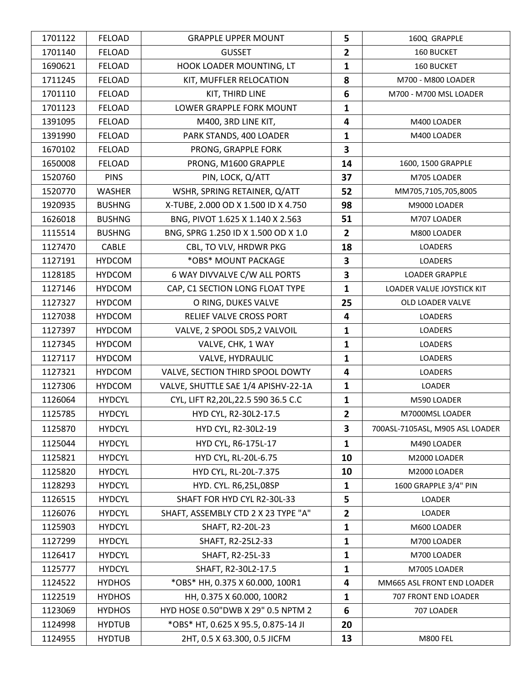| 1701122 | <b>FELOAD</b> | <b>GRAPPLE UPPER MOUNT</b>          | 5                       | 160Q GRAPPLE                    |
|---------|---------------|-------------------------------------|-------------------------|---------------------------------|
| 1701140 | FELOAD        | <b>GUSSET</b>                       | $\overline{2}$          | <b>160 BUCKET</b>               |
| 1690621 | <b>FELOAD</b> | HOOK LOADER MOUNTING, LT            | 1                       | 160 BUCKET                      |
| 1711245 | <b>FELOAD</b> | KIT, MUFFLER RELOCATION             | 8                       | M700 - M800 LOADER              |
| 1701110 | FELOAD        | KIT, THIRD LINE                     | $6\phantom{1}6$         | M700 - M700 MSL LOADER          |
| 1701123 | <b>FELOAD</b> | LOWER GRAPPLE FORK MOUNT            | $\mathbf{1}$            |                                 |
| 1391095 | <b>FELOAD</b> | M400, 3RD LINE KIT,                 | 4                       | M400 LOADER                     |
| 1391990 | <b>FELOAD</b> | PARK STANDS, 400 LOADER             | $\mathbf{1}$            | M400 LOADER                     |
| 1670102 | <b>FELOAD</b> | PRONG, GRAPPLE FORK                 | 3                       |                                 |
| 1650008 | <b>FELOAD</b> | PRONG, M1600 GRAPPLE                | 14                      | 1600, 1500 GRAPPLE              |
| 1520760 | <b>PINS</b>   | PIN, LOCK, Q/ATT                    | 37                      | M705 LOADER                     |
| 1520770 | <b>WASHER</b> | WSHR, SPRING RETAINER, Q/ATT        | 52                      | MM705,7105,705,8005             |
| 1920935 | <b>BUSHNG</b> | X-TUBE, 2.000 OD X 1.500 ID X 4.750 | 98                      | M9000 LOADER                    |
| 1626018 | <b>BUSHNG</b> | BNG, PIVOT 1.625 X 1.140 X 2.563    | 51                      | M707 LOADER                     |
| 1115514 | <b>BUSHNG</b> | BNG, SPRG 1.250 ID X 1.500 OD X 1.0 | $\overline{2}$          | M800 LOADER                     |
| 1127470 | CABLE         | CBL, TO VLV, HRDWR PKG              | 18                      | <b>LOADERS</b>                  |
| 1127191 | <b>HYDCOM</b> | *OBS* MOUNT PACKAGE                 | 3                       | <b>LOADERS</b>                  |
| 1128185 | <b>HYDCOM</b> | 6 WAY DIVVALVE C/W ALL PORTS        | 3                       | <b>LOADER GRAPPLE</b>           |
| 1127146 | <b>HYDCOM</b> | CAP, C1 SECTION LONG FLOAT TYPE     | $\mathbf{1}$            | LOADER VALUE JOYSTICK KIT       |
| 1127327 | <b>HYDCOM</b> | O RING, DUKES VALVE                 | 25                      | OLD LOADER VALVE                |
| 1127038 | <b>HYDCOM</b> | RELIEF VALVE CROSS PORT             | 4                       | <b>LOADERS</b>                  |
| 1127397 | <b>HYDCOM</b> | VALVE, 2 SPOOL SD5,2 VALVOIL        | 1                       | <b>LOADERS</b>                  |
| 1127345 | <b>HYDCOM</b> | VALVE, CHK, 1 WAY                   | $\mathbf{1}$            | <b>LOADERS</b>                  |
| 1127117 | <b>HYDCOM</b> | VALVE, HYDRAULIC                    | 1                       | <b>LOADERS</b>                  |
| 1127321 | <b>HYDCOM</b> | VALVE, SECTION THIRD SPOOL DOWTY    | $\overline{\mathbf{4}}$ | <b>LOADERS</b>                  |
| 1127306 | <b>HYDCOM</b> | VALVE, SHUTTLE SAE 1/4 APISHV-22-1A | $\mathbf{1}$            | LOADER                          |
| 1126064 | <b>HYDCYL</b> | CYL, LIFT R2,20L,22.5 590 36.5 C.C  | $\mathbf{1}$            | M590 LOADER                     |
| 1125785 | <b>HYDCYL</b> | HYD CYL, R2-30L2-17.5               | $\overline{2}$          | M7000MSL LOADER                 |
| 1125870 | <b>HYDCYL</b> | HYD CYL, R2-30L2-19                 | $\overline{\mathbf{3}}$ | 700ASL-7105ASL, M905 ASL LOADER |
| 1125044 | <b>HYDCYL</b> | HYD CYL, R6-175L-17                 | 1                       | M490 LOADER                     |
| 1125821 | <b>HYDCYL</b> | HYD CYL, RL-20L-6.75                | 10                      | M2000 LOADER                    |
| 1125820 | <b>HYDCYL</b> | HYD CYL, RL-20L-7.375               | 10                      | M2000 LOADER                    |
| 1128293 | <b>HYDCYL</b> | HYD. CYL. R6,25L,08SP               | $\mathbf{1}$            | 1600 GRAPPLE 3/4" PIN           |
| 1126515 | <b>HYDCYL</b> | SHAFT FOR HYD CYL R2-30L-33         | 5                       | <b>LOADER</b>                   |
| 1126076 | <b>HYDCYL</b> | SHAFT, ASSEMBLY CTD 2 X 23 TYPE "A" | $\overline{2}$          | LOADER                          |
| 1125903 | <b>HYDCYL</b> | SHAFT, R2-20L-23                    | 1                       | M600 LOADER                     |
| 1127299 | <b>HYDCYL</b> | SHAFT, R2-25L2-33                   | 1                       | M700 LOADER                     |
| 1126417 | <b>HYDCYL</b> | SHAFT, R2-25L-33                    | 1                       | M700 LOADER                     |
| 1125777 | <b>HYDCYL</b> | SHAFT, R2-30L2-17.5                 | $\mathbf{1}$            | M7005 LOADER                    |
| 1124522 | <b>HYDHOS</b> | *OBS* HH, 0.375 X 60.000, 100R1     | 4                       | MM665 ASL FRONT END LOADER      |
| 1122519 | <b>HYDHOS</b> | HH, 0.375 X 60.000, 100R2           | $\mathbf{1}$            | 707 FRONT END LOADER            |
| 1123069 | <b>HYDHOS</b> | HYD HOSE 0.50"DWB X 29" 0.5 NPTM 2  | 6                       | 707 LOADER                      |
| 1124998 | <b>HYDTUB</b> | *OBS* HT, 0.625 X 95.5, 0.875-14 JI | 20                      |                                 |
| 1124955 | <b>HYDTUB</b> | 2HT, 0.5 X 63.300, 0.5 JICFM        | 13                      | <b>M800 FEL</b>                 |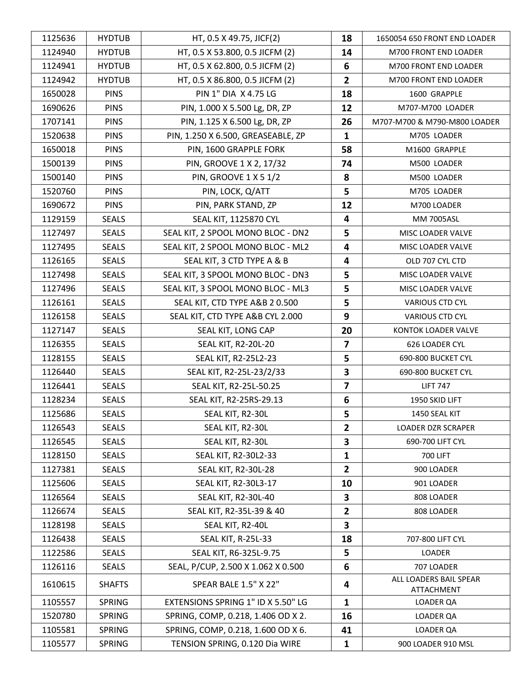| 1125636 | <b>HYDTUB</b> | HT, 0.5 X 49.75, JICF(2)           | 18                      | 1650054 650 FRONT END LOADER         |
|---------|---------------|------------------------------------|-------------------------|--------------------------------------|
| 1124940 | <b>HYDTUB</b> | HT, 0.5 X 53.800, 0.5 JICFM (2)    | 14                      | M700 FRONT END LOADER                |
| 1124941 | <b>HYDTUB</b> | HT, 0.5 X 62.800, 0.5 JICFM (2)    | 6                       | <b>M700 FRONT END LOADER</b>         |
| 1124942 | <b>HYDTUB</b> | HT, 0.5 X 86.800, 0.5 JICFM (2)    | $\overline{2}$          | <b>M700 FRONT END LOADER</b>         |
| 1650028 | <b>PINS</b>   | PIN 1" DIA X 4.75 LG               | 18                      | 1600 GRAPPLE                         |
| 1690626 | <b>PINS</b>   | PIN, 1.000 X 5.500 Lg, DR, ZP      | 12                      | M707-M700 LOADER                     |
| 1707141 | <b>PINS</b>   | PIN, 1.125 X 6.500 Lg, DR, ZP      | 26                      | M707-M700 & M790-M800 LOADER         |
| 1520638 | <b>PINS</b>   | PIN, 1.250 X 6.500, GREASEABLE, ZP | $\mathbf{1}$            | M705 LOADER                          |
| 1650018 | <b>PINS</b>   | PIN, 1600 GRAPPLE FORK             | 58                      | M1600 GRAPPLE                        |
| 1500139 | <b>PINS</b>   | PIN, GROOVE 1 X 2, 17/32           | 74                      | M500 LOADER                          |
| 1500140 | <b>PINS</b>   | <b>PIN, GROOVE 1 X 5 1/2</b>       | 8                       | M500 LOADER                          |
| 1520760 | <b>PINS</b>   | PIN, LOCK, Q/ATT                   | 5                       | M705 LOADER                          |
| 1690672 | <b>PINS</b>   | PIN, PARK STAND, ZP                | 12                      | M700 LOADER                          |
| 1129159 | <b>SEALS</b>  | SEAL KIT, 1125870 CYL              | $\overline{\mathbf{4}}$ | <b>MM 7005ASL</b>                    |
| 1127497 | <b>SEALS</b>  | SEAL KIT, 2 SPOOL MONO BLOC - DN2  | 5                       | MISC LOADER VALVE                    |
| 1127495 | <b>SEALS</b>  | SEAL KIT, 2 SPOOL MONO BLOC - ML2  | 4                       | MISC LOADER VALVE                    |
| 1126165 | <b>SEALS</b>  | SEAL KIT, 3 CTD TYPE A & B         | $\overline{\mathbf{4}}$ | OLD 707 CYL CTD                      |
| 1127498 | <b>SEALS</b>  | SEAL KIT, 3 SPOOL MONO BLOC - DN3  | 5                       | MISC LOADER VALVE                    |
| 1127496 | <b>SEALS</b>  | SEAL KIT, 3 SPOOL MONO BLOC - ML3  | 5                       | MISC LOADER VALVE                    |
| 1126161 | <b>SEALS</b>  | SEAL KIT, CTD TYPE A&B 20.500      | 5                       | <b>VARIOUS CTD CYL</b>               |
| 1126158 | <b>SEALS</b>  | SEAL KIT, CTD TYPE A&B CYL 2.000   | 9                       | <b>VARIOUS CTD CYL</b>               |
| 1127147 | <b>SEALS</b>  | SEAL KIT, LONG CAP                 | 20                      | KONTOK LOADER VALVE                  |
| 1126355 | <b>SEALS</b>  | <b>SEAL KIT, R2-20L-20</b>         | $\overline{\mathbf{z}}$ | 626 LOADER CYL                       |
| 1128155 | <b>SEALS</b>  | SEAL KIT, R2-25L2-23               | 5                       | 690-800 BUCKET CYL                   |
| 1126440 | <b>SEALS</b>  | SEAL KIT, R2-25L-23/2/33           | 3                       | 690-800 BUCKET CYL                   |
| 1126441 | <b>SEALS</b>  | SEAL KIT, R2-25L-50.25             | 7                       | <b>LIFT 747</b>                      |
| 1128234 | <b>SEALS</b>  | SEAL KIT, R2-25RS-29.13            | 6                       | 1950 SKID LIFT                       |
| 1125686 | <b>SEALS</b>  | SEAL KIT, R2-30L                   | 5                       | 1450 SEAL KIT                        |
| 1126543 | <b>SEALS</b>  | SEAL KIT, R2-30L                   | 2                       | <b>LOADER DZR SCRAPER</b>            |
| 1126545 | <b>SEALS</b>  | SEAL KIT, R2-30L                   | 3                       | 690-700 LIFT CYL                     |
| 1128150 | <b>SEALS</b>  | SEAL KIT, R2-30L2-33               | 1                       | <b>700 LIFT</b>                      |
| 1127381 | <b>SEALS</b>  | <b>SEAL KIT, R2-30L-28</b>         | $\mathbf{2}$            | 900 LOADER                           |
| 1125606 | <b>SEALS</b>  | SEAL KIT, R2-30L3-17               | 10                      | 901 LOADER                           |
| 1126564 | <b>SEALS</b>  | <b>SEAL KIT, R2-30L-40</b>         | 3                       | 808 LOADER                           |
| 1126674 | <b>SEALS</b>  | SEAL KIT, R2-35L-39 & 40           | $\mathbf{2}$            | 808 LOADER                           |
| 1128198 | <b>SEALS</b>  | SEAL KIT, R2-40L                   | 3                       |                                      |
| 1126438 | <b>SEALS</b>  | SEAL KIT, R-25L-33                 | 18                      | 707-800 LIFT CYL                     |
| 1122586 | <b>SEALS</b>  | SEAL KIT, R6-325L-9.75             | 5                       | LOADER                               |
| 1126116 | <b>SEALS</b>  | SEAL, P/CUP, 2.500 X 1.062 X 0.500 | 6                       | 707 LOADER                           |
| 1610615 | <b>SHAFTS</b> | <b>SPEAR BALE 1.5" X 22"</b>       | 4                       | ALL LOADERS BAIL SPEAR<br>ATTACHMENT |
| 1105557 | <b>SPRING</b> | EXTENSIONS SPRING 1" ID X 5.50" LG | $\mathbf{1}$            | LOADER QA                            |
| 1520780 | SPRING        | SPRING, COMP, 0.218, 1.406 OD X 2. | 16                      | LOADER QA                            |
| 1105581 | <b>SPRING</b> | SPRING, COMP, 0.218, 1.600 OD X 6. | 41                      | LOADER QA                            |
| 1105577 | <b>SPRING</b> | TENSION SPRING, 0.120 Dia WIRE     | $\mathbf{1}$            | 900 LOADER 910 MSL                   |